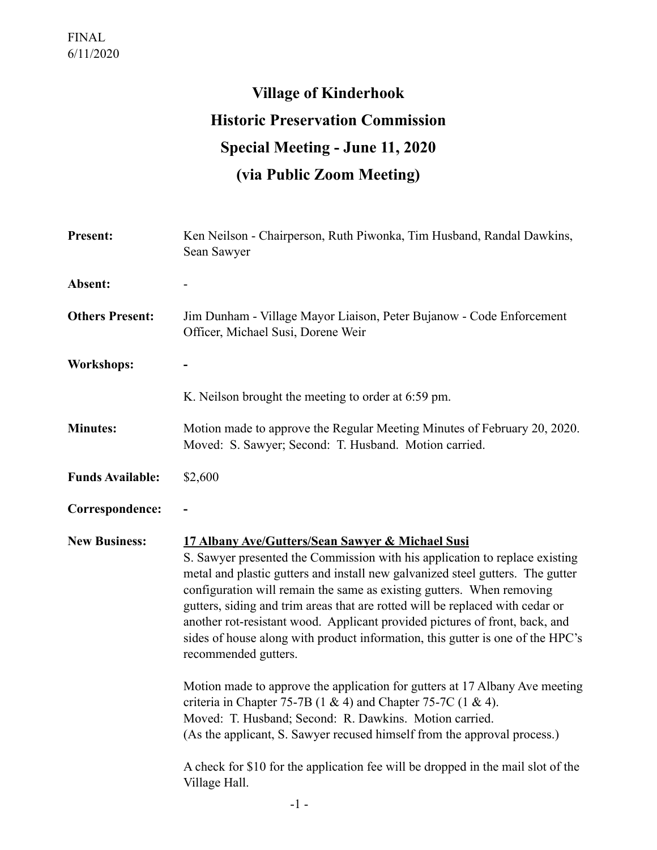## **Village of Kinderhook Historic Preservation Commission Special Meeting - June 11, 2020 (via Public Zoom Meeting)**

| <b>Present:</b>         | Ken Neilson - Chairperson, Ruth Piwonka, Tim Husband, Randal Dawkins,<br>Sean Sawyer                                                                                                                                                                                                                                                                                                                                                                                                                                                                                 |
|-------------------------|----------------------------------------------------------------------------------------------------------------------------------------------------------------------------------------------------------------------------------------------------------------------------------------------------------------------------------------------------------------------------------------------------------------------------------------------------------------------------------------------------------------------------------------------------------------------|
| Absent:                 |                                                                                                                                                                                                                                                                                                                                                                                                                                                                                                                                                                      |
| <b>Others Present:</b>  | Jim Dunham - Village Mayor Liaison, Peter Bujanow - Code Enforcement<br>Officer, Michael Susi, Dorene Weir                                                                                                                                                                                                                                                                                                                                                                                                                                                           |
| <b>Workshops:</b>       |                                                                                                                                                                                                                                                                                                                                                                                                                                                                                                                                                                      |
|                         | K. Neilson brought the meeting to order at 6:59 pm.                                                                                                                                                                                                                                                                                                                                                                                                                                                                                                                  |
| <b>Minutes:</b>         | Motion made to approve the Regular Meeting Minutes of February 20, 2020.<br>Moved: S. Sawyer; Second: T. Husband. Motion carried.                                                                                                                                                                                                                                                                                                                                                                                                                                    |
| <b>Funds Available:</b> | \$2,600                                                                                                                                                                                                                                                                                                                                                                                                                                                                                                                                                              |
| Correspondence:         |                                                                                                                                                                                                                                                                                                                                                                                                                                                                                                                                                                      |
| <b>New Business:</b>    | 17 Albany Ave/Gutters/Sean Sawyer & Michael Susi<br>S. Sawyer presented the Commission with his application to replace existing<br>metal and plastic gutters and install new galvanized steel gutters. The gutter<br>configuration will remain the same as existing gutters. When removing<br>gutters, siding and trim areas that are rotted will be replaced with cedar or<br>another rot-resistant wood. Applicant provided pictures of front, back, and<br>sides of house along with product information, this gutter is one of the HPC's<br>recommended gutters. |
|                         | Motion made to approve the application for gutters at 17 Albany Ave meeting<br>criteria in Chapter 75-7B $(1 \& 4)$ and Chapter 75-7C $(1 \& 4)$ .<br>Moved: T. Husband; Second: R. Dawkins. Motion carried.<br>(As the applicant, S. Sawyer recused himself from the approval process.)                                                                                                                                                                                                                                                                             |
|                         | A check for \$10 for the application fee will be dropped in the mail slot of the<br>Village Hall.                                                                                                                                                                                                                                                                                                                                                                                                                                                                    |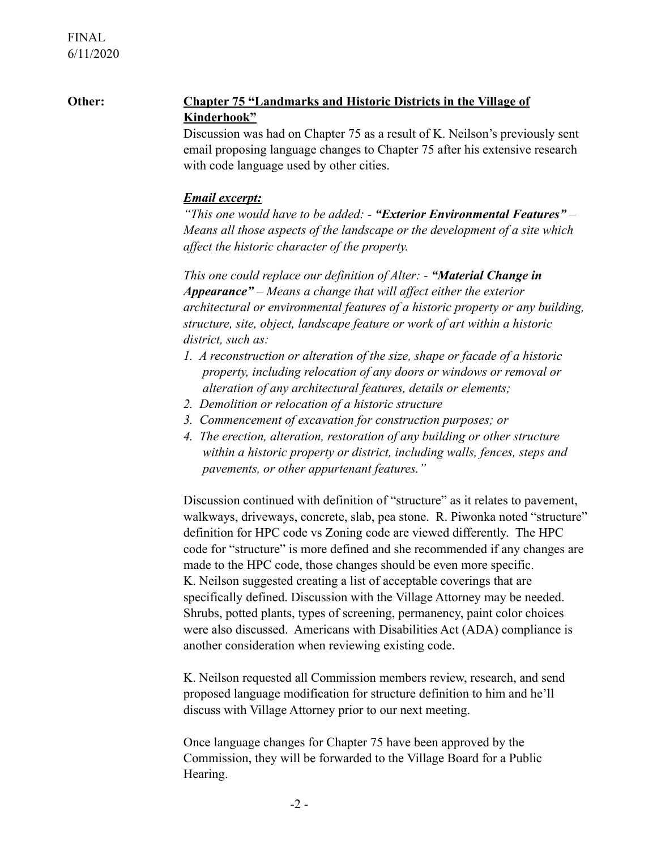## **Other: Chapter 75 "Landmarks and Historic Districts in the Village of Kinderhook"**

 Discussion was had on Chapter 75 as a result of K. Neilson's previously sent email proposing language changes to Chapter 75 after his extensive research with code language used by other cities.

## *Email excerpt:*

 *"This one would have to be added: - "Exterior Environmental Features" – Means all those aspects of the landscape or the development of a site which affect the historic character of the property.* 

*This one could replace our definition of Alter: - "Material Change in Appearance" – Means a change that will affect either the exterior architectural or environmental features of a historic property or any building, structure, site, object, landscape feature or work of art within a historic district, such as:* 

- *1. A reconstruction or alteration of the size, shape or facade of a historic property, including relocation of any doors or windows or removal or alteration of any architectural features, details or elements;*
- *2. Demolition or relocation of a historic structure*
- *3. Commencement of excavation for construction purposes; or*
- *4. The erection, alteration, restoration of any building or other structure within a historic property or district, including walls, fences, steps and pavements, or other appurtenant features."*

 Discussion continued with definition of "structure" as it relates to pavement, walkways, driveways, concrete, slab, pea stone. R. Piwonka noted "structure" definition for HPC code vs Zoning code are viewed differently. The HPC code for "structure" is more defined and she recommended if any changes are made to the HPC code, those changes should be even more specific. K. Neilson suggested creating a list of acceptable coverings that are specifically defined. Discussion with the Village Attorney may be needed. Shrubs, potted plants, types of screening, permanency, paint color choices were also discussed. Americans with Disabilities Act (ADA) compliance is another consideration when reviewing existing code.

 K. Neilson requested all Commission members review, research, and send proposed language modification for structure definition to him and he'll discuss with Village Attorney prior to our next meeting.

 Once language changes for Chapter 75 have been approved by the Commission, they will be forwarded to the Village Board for a Public Hearing.